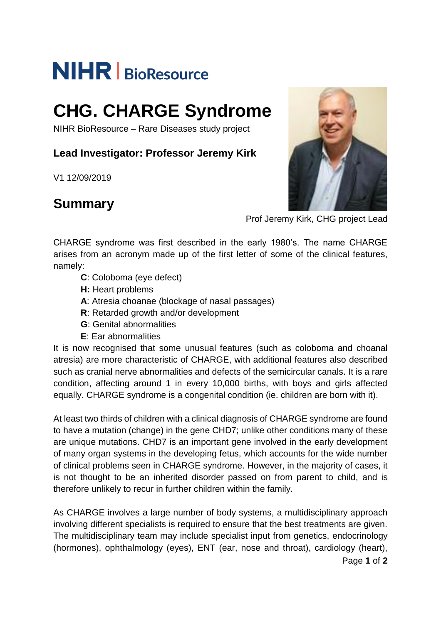# **NIHR** | BioResource

## **CHG. CHARGE Syndrome**

NIHR BioResource – Rare Diseases study project

**Lead Investigator: Professor Jeremy Kirk**

V1 12/09/2019

## **Summary**



Prof Jeremy Kirk, CHG project Lead

CHARGE syndrome was first described in the early 1980's. The name CHARGE arises from an acronym made up of the first letter of some of the clinical features, namely:

- **C**: Coloboma (eye defect)
- **H:** Heart problems
- **A**: Atresia choanae (blockage of nasal passages)
- **R**: Retarded growth and/or development
- **G**: Genital abnormalities
- **E**: Ear abnormalities

It is now recognised that some unusual features (such as coloboma and choanal atresia) are more characteristic of CHARGE, with additional features also described such as cranial nerve abnormalities and defects of the semicircular canals. It is a rare condition, affecting around 1 in every 10,000 births, with boys and girls affected equally. CHARGE syndrome is a congenital condition (ie. children are born with it).

At least two thirds of children with a clinical diagnosis of CHARGE syndrome are found to have a mutation (change) in the gene CHD7; unlike other conditions many of these are unique mutations. CHD7 is an important gene involved in the early development of many organ systems in the developing fetus, which accounts for the wide number of clinical problems seen in CHARGE syndrome. However, in the majority of cases, it is not thought to be an inherited disorder passed on from parent to child, and is therefore unlikely to recur in further children within the family.

As CHARGE involves a large number of body systems, a multidisciplinary approach involving different specialists is required to ensure that the best treatments are given. The multidisciplinary team may include specialist input from genetics, endocrinology (hormones), ophthalmology (eyes), ENT (ear, nose and throat), cardiology (heart),